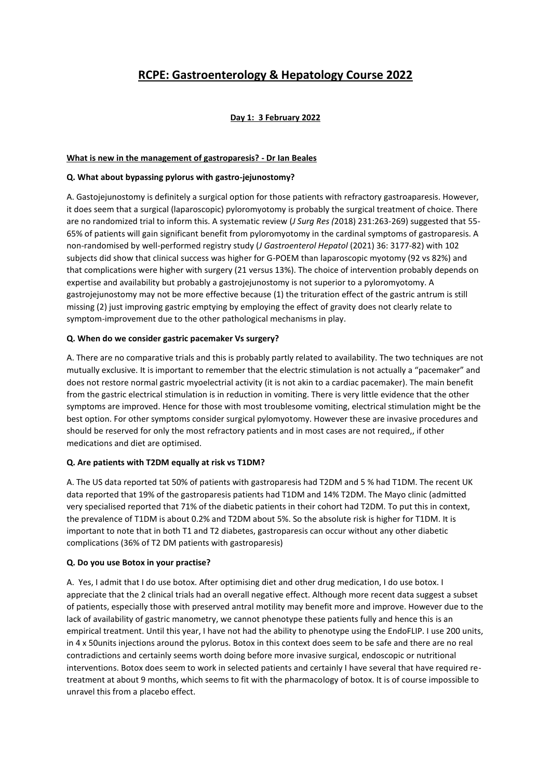# **RCPE: Gastroenterology & Hepatology Course 2022**

# **Day 1: 3 February 2022**

# **What is new in the management of gastroparesis? - Dr Ian Beales**

### **Q. What about bypassing pylorus with gastro-jejunostomy?**

A. Gastojejunostomy is definitely a surgical option for those patients with refractory gastroaparesis. However, it does seem that a surgical (laparoscopic) pyloromyotomy is probably the surgical treatment of choice. There are no randomized trial to inform this. A systematic review (*J Surg Res (*2018) 231:263-269) suggested that 55- 65% of patients will gain significant benefit from pyloromyotomy in the cardinal symptoms of gastroparesis. A non-randomised by well-performed registry study (*J Gastroenterol Hepatol* (2021) 36: 3177-82) with 102 subjects did show that clinical success was higher for G-POEM than laparoscopic myotomy (92 vs 82%) and that complications were higher with surgery (21 versus 13%). The choice of intervention probably depends on expertise and availability but probably a gastrojejunostomy is not superior to a pyloromyotomy. A gastrojejunostomy may not be more effective because (1) the trituration effect of the gastric antrum is still missing (2) just improving gastric emptying by employing the effect of gravity does not clearly relate to symptom-improvement due to the other pathological mechanisms in play.

# **Q. When do we consider gastric pacemaker Vs surgery?**

A. There are no comparative trials and this is probably partly related to availability. The two techniques are not mutually exclusive. It is important to remember that the electric stimulation is not actually a "pacemaker" and does not restore normal gastric myoelectrial activity (it is not akin to a cardiac pacemaker). The main benefit from the gastric electrical stimulation is in reduction in vomiting. There is very little evidence that the other symptoms are improved. Hence for those with most troublesome vomiting, electrical stimulation might be the best option. For other symptoms consider surgical pylomyotomy. However these are invasive procedures and should be reserved for only the most refractory patients and in most cases are not required,, if other medications and diet are optimised.

#### **Q. Are patients with T2DM equally at risk vs T1DM?**

A. The US data reported tat 50% of patients with gastroparesis had T2DM and 5 % had T1DM. The recent UK data reported that 19% of the gastroparesis patients had T1DM and 14% T2DM. The Mayo clinic (admitted very specialised reported that 71% of the diabetic patients in their cohort had T2DM. To put this in context, the prevalence of T1DM is about 0.2% and T2DM about 5%. So the absolute risk is higher for T1DM. It is important to note that in both T1 and T2 diabetes, gastroparesis can occur without any other diabetic complications (36% of T2 DM patients with gastroparesis)

#### **Q. Do you use Botox in your practise?**

A. Yes, I admit that I do use botox. After optimising diet and other drug medication, I do use botox. I appreciate that the 2 clinical trials had an overall negative effect. Although more recent data suggest a subset of patients, especially those with preserved antral motility may benefit more and improve. However due to the lack of availability of gastric manometry, we cannot phenotype these patients fully and hence this is an empirical treatment. Until this year, I have not had the ability to phenotype using the EndoFLIP. I use 200 units, in 4 x 50units injections around the pylorus. Botox in this context does seem to be safe and there are no real contradictions and certainly seems worth doing before more invasive surgical, endoscopic or nutritional interventions. Botox does seem to work in selected patients and certainly I have several that have required retreatment at about 9 months, which seems to fit with the pharmacology of botox. It is of course impossible to unravel this from a placebo effect.